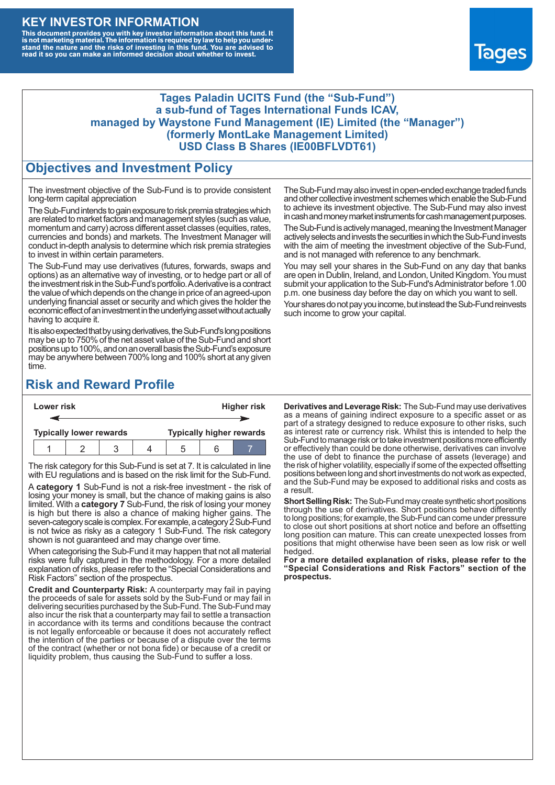#### **KEY INVESTOR INFORMATION**

This document provides you with key investor information about this fund. It<br>is not marketing material. The information is required by law to help you under-<br>stand the nature and the risks of investing in this fund. You ar



#### **Tages Paladin UCITS Fund (the "Sub-Fund") a sub-fund of Tages International Funds ICAV, managed by Waystone Fund Management (IE) Limited (the "Manager") (formerly MontLake Management Limited) USD Class B Shares (IE00BFLVDT61)**

#### **Objectives and Investment Policy**

The investment objective of the Sub-Fund is to provide consistent long-term capital appreciation

The Sub-Fund intends to gain exposure to risk premia strategies which are related to market factors and management styles (such as value, momentum and carry) across different asset classes (equities, rates, currencies and bonds) and markets. The Investment Manager will conduct in-depth analysis to determine which risk premia strategies to invest in within certain parameters.

The Sub-Fund may use derivatives (futures, forwards, swaps and options) as an alternative way of investing, or to hedge part or all of the investment risk intheSub-Fund's portfolio.Aderivative is a contract the value of which depends on the change in price of an agreed-upon underlying financial asset or security and which gives the holder the economic effect of an investment in the underlying asset without actually having to acquire it.

It is also expected that by using derivatives, the Sub-Fund's long positions may be up to 750% of the net asset value of the Sub-Fund and short positions up to 100%, and on an overall basis the Sub-Fund's exposure may be anywhere between 700% long and 100% short at any given time.

The Sub-Fund may also invest in open-ended exchange traded funds and other collective investment schemes which enable the Sub-Fund to achieve its investment objective. The Sub-Fund may also invest in cash and money market instruments for cash management purposes.

The Sub-Fund is actively managed, meaning the Investment Manager actively selects and invests the securities in which the Sub-Fund invests with the aim of meeting the investment objective of the Sub-Fund, and is not managed with reference to any benchmark.

You may sell your shares in the Sub-Fund on any day that banks are open in Dublin, Ireland, and London, United Kingdom. You must submit your application to the Sub-Fund's Administrator before 1.00 p.m. one business day before the day on which you want to sell.

Your shares do not pay you income, but instead the Sub-Fund reinvests such income to grow your capital.

## **Risk and Reward Profile**

| Lower risk |                                |  |  |  | <b>Higher risk</b>              |     |  |  |
|------------|--------------------------------|--|--|--|---------------------------------|-----|--|--|
|            |                                |  |  |  |                                 |     |  |  |
|            | <b>Typically lower rewards</b> |  |  |  | <b>Typically higher rewards</b> |     |  |  |
|            |                                |  |  |  |                                 | ี่ค |  |  |

The risk category for this Sub-Fund is set at 7. It is calculated in line with EU regulations and is based on the risk limit for the Sub-Fund.

A **category 1** Sub-Fund is not a risk-free investment - the risk of losing your money is small, but the chance of making gains is also limited. With a **category 7** Sub-Fund, the risk of losing your money is high but there is also a chance of making higher gains. The seven-category scale is complex. For example, a category 2 Sub-Fund is not twice as risky as a category 1 Sub-Fund. The risk category shown is not guaranteed and may change over time.

When categorising the Sub-Fund it may happen that not all material risks were fully captured in the methodology. For a more detailed explanation of risks, please refer to the "Special Considerations and Risk Factors" section of the prospectus.

**Credit and Counterparty Risk:** A counterparty may fail in paying the proceeds of sale for assets sold by the Sub-Fund or may fail in delivering securities purchased by the Sub-Fund. The Sub-Fund may also incur the risk that a counterparty may fail to settle a transaction in accordance with its terms and conditions because the contract is not legally enforceable or because it does not accurately reflect the intention of the parties or because of a dispute over the terms of the contract (whether or not bona fide) or because of a credit or liquidity problem, thus causing the Sub-Fund to suffer a loss.

**Derivatives and Leverage Risk:** The Sub-Fund may use derivatives as a means of gaining indirect exposure to a specific asset or as part of a strategy designed to reduce exposure to other risks, such as interest rate or currency risk. Whilst this is intended to help the Sub-Fund to manage risk or to take investment positions more efficiently or effectively than could be done otherwise, derivatives can involve the use of debt to finance the purchase of assets (leverage) and the risk of higher volatility, especially if some of the expected offsetting positions between long and short investments do not work as expected, and the Sub-Fund may be exposed to additional risks and costs as a result.

**Short Selling Risk:** The Sub-Fund may create synthetic short positions through the use of derivatives. Short positions behave differently to long positions; for example, the Sub-Fund can come under pressure to close out short positions at short notice and before an offsetting long position can mature. This can create unexpected losses from positions that might otherwise have been seen as low risk or well hedged.

**For a more detailed explanation of risks, please refer to the "Special Considerations and Risk Factors" section of the prospectus.**